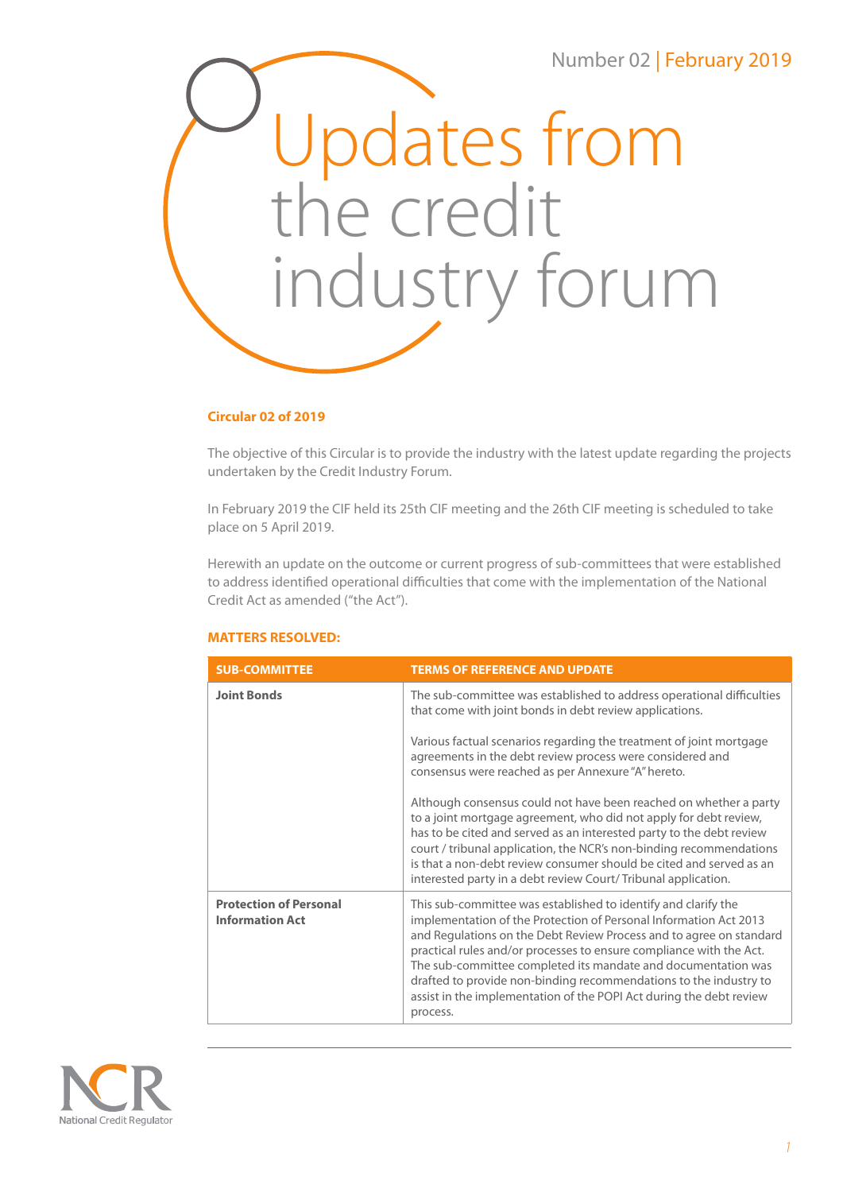

## **Circular 02 of 2019**

The objective of this Circular is to provide the industry with the latest update regarding the projects undertaken by the Credit Industry Forum.

In February 2019 the CIF held its 25th CIF meeting and the 26th CIF meeting is scheduled to take place on 5 April 2019.

Herewith an update on the outcome or current progress of sub-committees that were established to address identified operational difficulties that come with the implementation of the National Credit Act as amended ("the Act").

## **MATTERS RESOLVED:**

| <b>SUB-COMMITTEE</b>                                    | <b>TERMS OF REFERENCE AND UPDATE</b>                                                                                                                                                                                                                                                                                                                                                                                                                                                                       |
|---------------------------------------------------------|------------------------------------------------------------------------------------------------------------------------------------------------------------------------------------------------------------------------------------------------------------------------------------------------------------------------------------------------------------------------------------------------------------------------------------------------------------------------------------------------------------|
| <b>Joint Bonds</b>                                      | The sub-committee was established to address operational difficulties<br>that come with joint bonds in debt review applications.                                                                                                                                                                                                                                                                                                                                                                           |
|                                                         | Various factual scenarios regarding the treatment of joint mortgage<br>agreements in the debt review process were considered and<br>consensus were reached as per Annexure "A" hereto.                                                                                                                                                                                                                                                                                                                     |
|                                                         | Although consensus could not have been reached on whether a party<br>to a joint mortgage agreement, who did not apply for debt review,<br>has to be cited and served as an interested party to the debt review<br>court / tribunal application, the NCR's non-binding recommendations<br>is that a non-debt review consumer should be cited and served as an<br>interested party in a debt review Court/Tribunal application.                                                                              |
| <b>Protection of Personal</b><br><b>Information Act</b> | This sub-committee was established to identify and clarify the<br>implementation of the Protection of Personal Information Act 2013<br>and Regulations on the Debt Review Process and to agree on standard<br>practical rules and/or processes to ensure compliance with the Act.<br>The sub-committee completed its mandate and documentation was<br>drafted to provide non-binding recommendations to the industry to<br>assist in the implementation of the POPI Act during the debt review<br>process. |

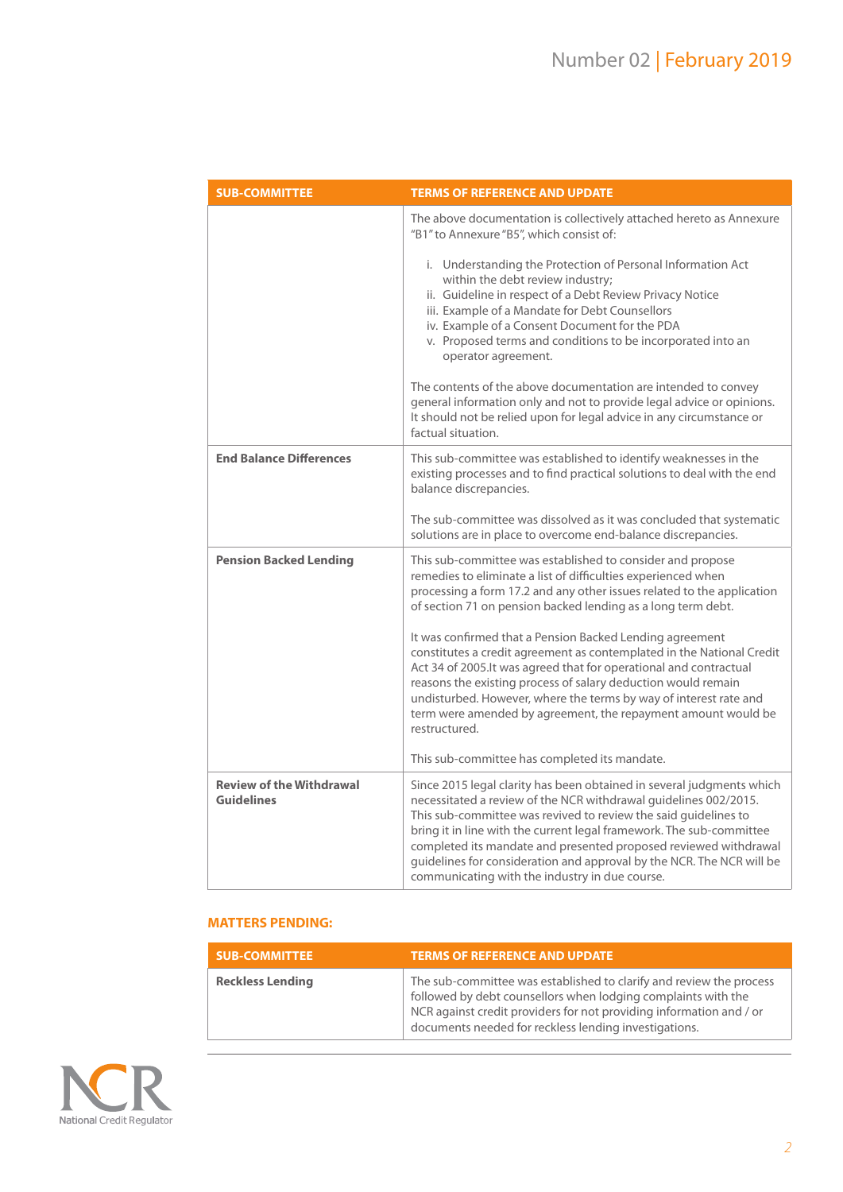| <b>SUB-COMMITTEE</b>                                 | <b>TERMS OF REFERENCE AND UPDATE</b>                                                                                                                                                                                                                                                                                                                                                                                                                                                |
|------------------------------------------------------|-------------------------------------------------------------------------------------------------------------------------------------------------------------------------------------------------------------------------------------------------------------------------------------------------------------------------------------------------------------------------------------------------------------------------------------------------------------------------------------|
|                                                      | The above documentation is collectively attached hereto as Annexure<br>"B1" to Annexure "B5", which consist of:                                                                                                                                                                                                                                                                                                                                                                     |
|                                                      | i. Understanding the Protection of Personal Information Act<br>within the debt review industry;<br>ii. Guideline in respect of a Debt Review Privacy Notice<br>iii. Example of a Mandate for Debt Counsellors<br>iv. Example of a Consent Document for the PDA<br>v. Proposed terms and conditions to be incorporated into an<br>operator agreement.                                                                                                                                |
|                                                      | The contents of the above documentation are intended to convey<br>general information only and not to provide legal advice or opinions.<br>It should not be relied upon for legal advice in any circumstance or<br>factual situation.                                                                                                                                                                                                                                               |
| <b>End Balance Differences</b>                       | This sub-committee was established to identify weaknesses in the<br>existing processes and to find practical solutions to deal with the end<br>balance discrepancies.                                                                                                                                                                                                                                                                                                               |
|                                                      | The sub-committee was dissolved as it was concluded that systematic<br>solutions are in place to overcome end-balance discrepancies.                                                                                                                                                                                                                                                                                                                                                |
| <b>Pension Backed Lending</b>                        | This sub-committee was established to consider and propose<br>remedies to eliminate a list of difficulties experienced when<br>processing a form 17.2 and any other issues related to the application<br>of section 71 on pension backed lending as a long term debt.                                                                                                                                                                                                               |
|                                                      | It was confirmed that a Pension Backed Lending agreement<br>constitutes a credit agreement as contemplated in the National Credit<br>Act 34 of 2005.It was agreed that for operational and contractual<br>reasons the existing process of salary deduction would remain<br>undisturbed. However, where the terms by way of interest rate and<br>term were amended by agreement, the repayment amount would be<br>restructured.                                                      |
|                                                      | This sub-committee has completed its mandate.                                                                                                                                                                                                                                                                                                                                                                                                                                       |
| <b>Review of the Withdrawal</b><br><b>Guidelines</b> | Since 2015 legal clarity has been obtained in several judgments which<br>necessitated a review of the NCR withdrawal guidelines 002/2015.<br>This sub-committee was revived to review the said quidelines to<br>bring it in line with the current legal framework. The sub-committee<br>completed its mandate and presented proposed reviewed withdrawal<br>guidelines for consideration and approval by the NCR. The NCR will be<br>communicating with the industry in due course. |

# **MATTERS PENDING:**

| <b>SUB-COMMITTEE</b>    | <b>TERMS OF REFERENCE AND UPDATE</b>                                                                                                                                                                                                                                 |
|-------------------------|----------------------------------------------------------------------------------------------------------------------------------------------------------------------------------------------------------------------------------------------------------------------|
| <b>Reckless Lending</b> | The sub-committee was established to clarify and review the process<br>followed by debt counsellors when lodging complaints with the<br>NCR against credit providers for not providing information and / or<br>documents needed for reckless lending investigations. |

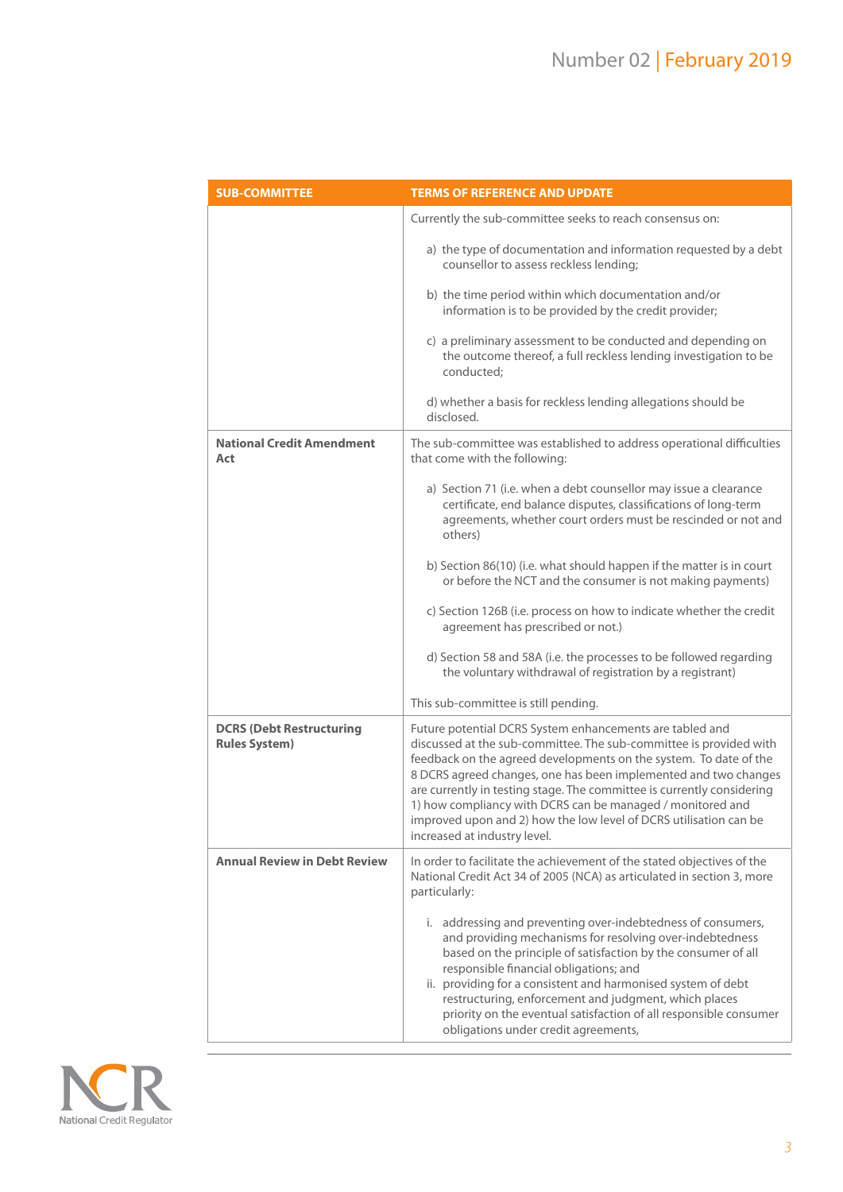| <b>SUB-COMMITTEE</b>                                    | <b>TERMS OF REFERENCE AND UPDATE</b>                                                                                                                                                                                                                                                                                                                                                                                                                                                                                |
|---------------------------------------------------------|---------------------------------------------------------------------------------------------------------------------------------------------------------------------------------------------------------------------------------------------------------------------------------------------------------------------------------------------------------------------------------------------------------------------------------------------------------------------------------------------------------------------|
|                                                         | Currently the sub-committee seeks to reach consensus on:                                                                                                                                                                                                                                                                                                                                                                                                                                                            |
|                                                         | a) the type of documentation and information requested by a debt<br>counsellor to assess reckless lending;                                                                                                                                                                                                                                                                                                                                                                                                          |
|                                                         | b) the time period within which documentation and/or<br>information is to be provided by the credit provider;                                                                                                                                                                                                                                                                                                                                                                                                       |
|                                                         | c) a preliminary assessment to be conducted and depending on<br>the outcome thereof, a full reckless lending investigation to be<br>conducted:                                                                                                                                                                                                                                                                                                                                                                      |
|                                                         | d) whether a basis for reckless lending allegations should be<br>disclosed.                                                                                                                                                                                                                                                                                                                                                                                                                                         |
| <b>National Credit Amendment</b><br>Act                 | The sub-committee was established to address operational difficulties<br>that come with the following:                                                                                                                                                                                                                                                                                                                                                                                                              |
|                                                         | a) Section 71 (i.e. when a debt counsellor may issue a clearance<br>certificate, end balance disputes, classifications of long-term<br>agreements, whether court orders must be rescinded or not and<br>others)                                                                                                                                                                                                                                                                                                     |
|                                                         | b) Section 86(10) (i.e. what should happen if the matter is in court<br>or before the NCT and the consumer is not making payments)                                                                                                                                                                                                                                                                                                                                                                                  |
|                                                         | c) Section 126B (i.e. process on how to indicate whether the credit<br>agreement has prescribed or not.)                                                                                                                                                                                                                                                                                                                                                                                                            |
|                                                         | d) Section 58 and 58A (i.e. the processes to be followed regarding<br>the voluntary withdrawal of registration by a registrant)                                                                                                                                                                                                                                                                                                                                                                                     |
|                                                         | This sub-committee is still pending.                                                                                                                                                                                                                                                                                                                                                                                                                                                                                |
| <b>DCRS (Debt Restructuring</b><br><b>Rules System)</b> | Future potential DCRS System enhancements are tabled and<br>discussed at the sub-committee. The sub-committee is provided with<br>feedback on the agreed developments on the system. To date of the<br>8 DCRS agreed changes, one has been implemented and two changes<br>are currently in testing stage. The committee is currently considering<br>1) how compliancy with DCRS can be managed / monitored and<br>improved upon and 2) how the low level of DCRS utilisation can be<br>increased at industry level. |
| <b>Annual Review in Debt Review</b>                     | In order to facilitate the achievement of the stated objectives of the<br>National Credit Act 34 of 2005 (NCA) as articulated in section 3, more<br>particularly:                                                                                                                                                                                                                                                                                                                                                   |
|                                                         | i. addressing and preventing over-indebtedness of consumers,<br>and providing mechanisms for resolving over-indebtedness<br>based on the principle of satisfaction by the consumer of all<br>responsible financial obligations; and<br>ii. providing for a consistent and harmonised system of debt<br>restructuring, enforcement and judgment, which places<br>priority on the eventual satisfaction of all responsible consumer<br>obligations under credit agreements,                                           |